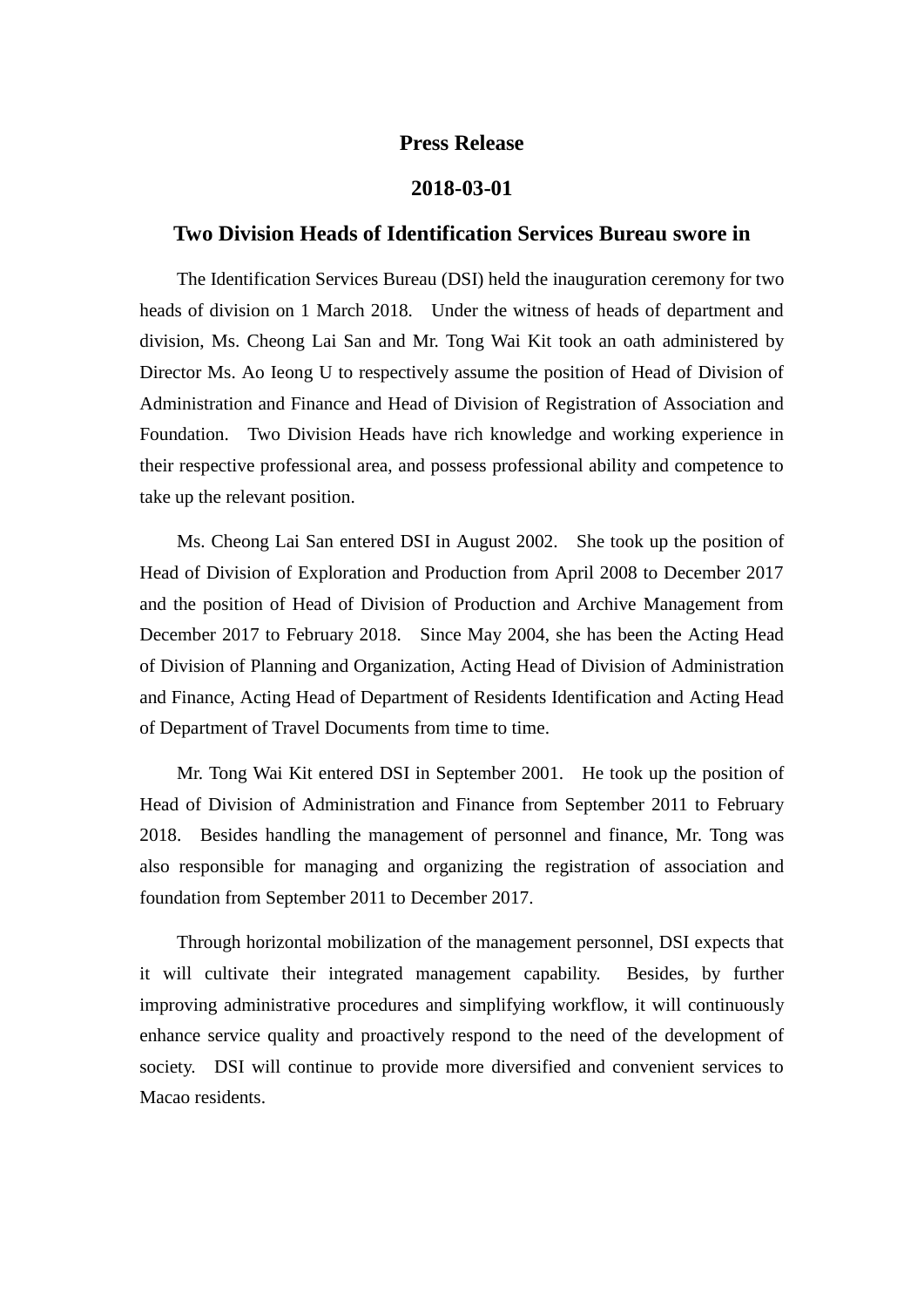## **Press Release**

## **2018-03-01**

## **Two Division Heads of Identification Services Bureau swore in**

The Identification Services Bureau (DSI) held the inauguration ceremony for two heads of division on 1 March 2018. Under the witness of heads of department and division, Ms. Cheong Lai San and Mr. Tong Wai Kit took an oath administered by Director Ms. Ao Ieong U to respectively assume the position of Head of Division of Administration and Finance and Head of Division of Registration of Association and Foundation. Two Division Heads have rich knowledge and working experience in their respective professional area, and possess professional ability and competence to take up the relevant position.

Ms. Cheong Lai San entered DSI in August 2002. She took up the position of Head of Division of Exploration and Production from April 2008 to December 2017 and the position of Head of Division of Production and Archive Management from December 2017 to February 2018. Since May 2004, she has been the Acting Head of Division of Planning and Organization, Acting Head of Division of Administration and Finance, Acting Head of Department of Residents Identification and Acting Head of Department of Travel Documents from time to time.

Mr. Tong Wai Kit entered DSI in September 2001. He took up the position of Head of Division of Administration and Finance from September 2011 to February 2018. Besides handling the management of personnel and finance, Mr. Tong was also responsible for managing and organizing the registration of association and foundation from September 2011 to December 2017.

Through horizontal mobilization of the management personnel, DSI expects that it will cultivate their integrated management capability. Besides, by further improving administrative procedures and simplifying workflow, it will continuously enhance service quality and proactively respond to the need of the development of society. DSI will continue to provide more diversified and convenient services to Macao residents.